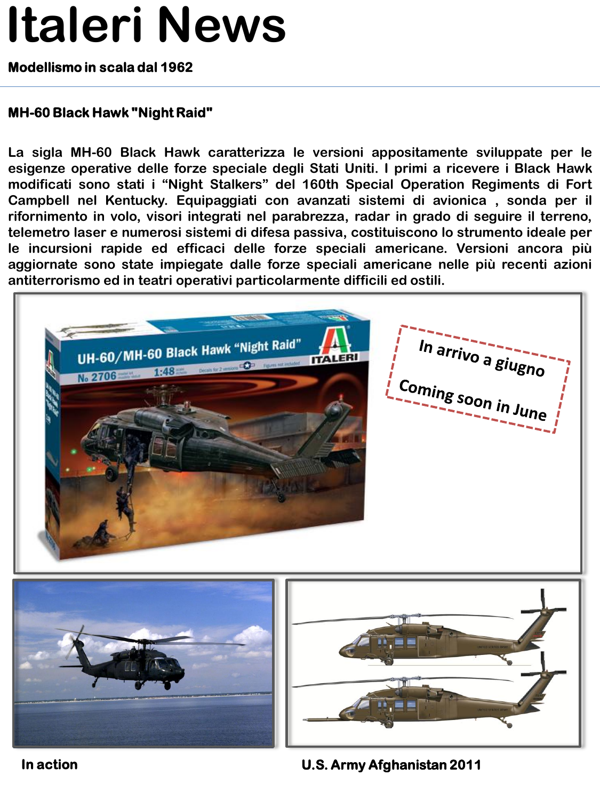## **Italeri News**

### **Modellismo in scala dal 1962**

#### **MH-60 Black Hawk "Night Raid"**

**La sigla MH-60 Black Hawk caratterizza le versioni appositamente sviluppate per le esigenze operative delle forze speciale degli Stati Uniti. I primi a ricevere i Black Hawk modificati sono stati i "Night Stalkers" del 160th Special Operation Regiments di Fort Campbell nel Kentucky. Equipaggiati con avanzati sistemi di avionica , sonda per il rifornimento in volo, visori integrati nel parabrezza, radar in grado di seguire il terreno, telemetro laser e numerosi sistemi di difesa passiva, costituiscono lo strumento ideale per le incursioni rapide ed efficaci delle forze speciali americane. Versioni ancora più aggiornate sono state impiegate dalle forze speciali americane nelle più recenti azioni antiterrorismo ed in teatri operativi particolarmente difficili ed ostili.**



**In action U.S. Army Afghanistan 2011**